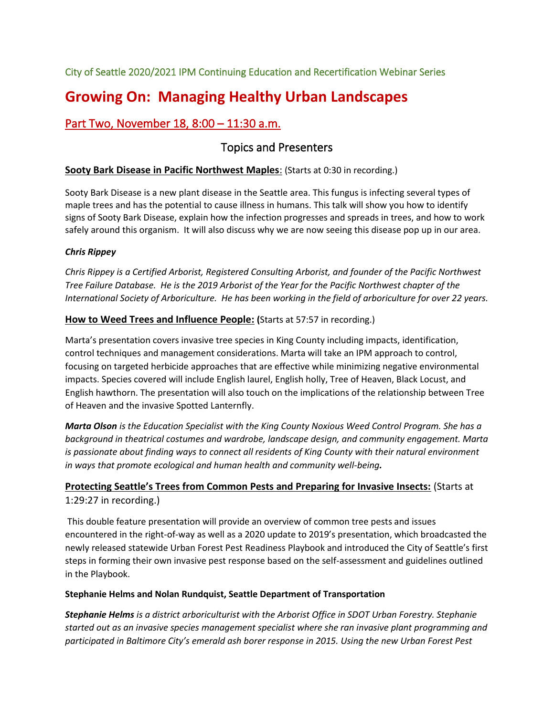City of Seattle 2020/2021 IPM Continuing Education and Recertification Webinar Series

# **Growing On: Managing Healthy Urban Landscapes**

# Part Two, November 18, 8:00 – 11:30 a.m.

# Topics and Presenters

# **Sooty Bark Disease in Pacific Northwest Maples**: (Starts at 0:30 in recording.)

Sooty Bark Disease is a new plant disease in the Seattle area. This fungus is infecting several types of maple trees and has the potential to cause illness in humans. This talk will show you how to identify signs of Sooty Bark Disease, explain how the infection progresses and spreads in trees, and how to work safely around this organism. It will also discuss why we are now seeing this disease pop up in our area.

# *Chris Rippey*

*Chris Rippey is a Certified Arborist, Registered Consulting Arborist, and founder of the Pacific Northwest Tree Failure Database. He is the 2019 Arborist of the Year for the Pacific Northwest chapter of the International Society of Arboriculture. He has been working in the field of arboriculture for over 22 years.* 

## **How to Weed Trees and Influence People: (**Starts at 57:57 in recording.)

Marta's presentation covers invasive tree species in King County including impacts, identification, control techniques and management considerations. Marta will take an IPM approach to control, focusing on targeted herbicide approaches that are effective while minimizing negative environmental impacts. Species covered will include English laurel, English holly, Tree of Heaven, Black Locust, and English hawthorn. The presentation will also touch on the implications of the relationship between Tree of Heaven and the invasive Spotted Lanternfly.

*Marta Olson is the Education Specialist with the King County Noxious Weed Control Program. She has a background in theatrical costumes and wardrobe, landscape design, and community engagement. Marta is passionate about finding ways to connect all residents of King County with their natural environment in ways that promote ecological and human health and community well-being.*

# **Protecting Seattle's Trees from Common Pests and Preparing for Invasive Insects:** (Starts at 1:29:27 in recording.)

This double feature presentation will provide an overview of common tree pests and issues encountered in the right-of-way as well as a 2020 update to 2019's presentation, which broadcasted the newly released statewide Urban Forest Pest Readiness Playbook and introduced the City of Seattle's first steps in forming their own invasive pest response based on the self-assessment and guidelines outlined in the Playbook.

#### **Stephanie Helms and Nolan Rundquist, Seattle Department of Transportation**

*Stephanie Helms is a district arboriculturist with the Arborist Office in SDOT Urban Forestry. Stephanie started out as an invasive species management specialist where she ran invasive plant programming and participated in Baltimore City's emerald ash borer response in 2015. Using the new Urban Forest Pest*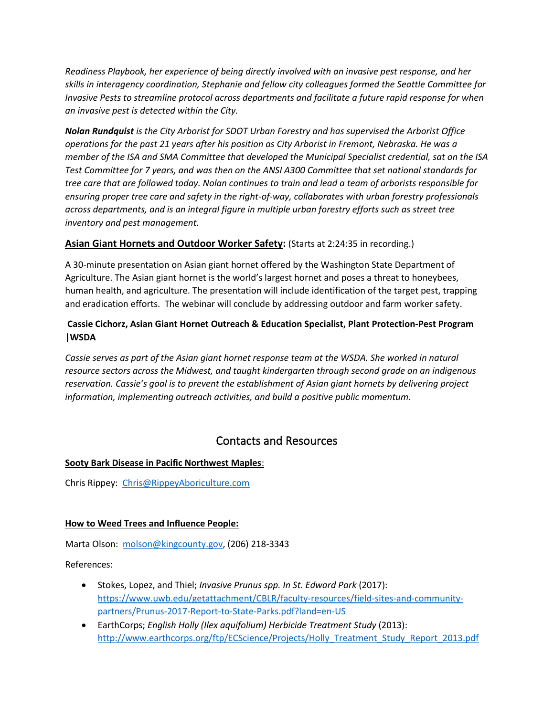*Readiness Playbook, her experience of being directly involved with an invasive pest response, and her skills in interagency coordination, Stephanie and fellow city colleagues formed the Seattle Committee for Invasive Pests to streamline protocol across departments and facilitate a future rapid response for when an invasive pest is detected within the City.*

*Nolan Rundquist is the City Arborist for SDOT Urban Forestry and has supervised the Arborist Office operations for the past 21 years after his position as City Arborist in Fremont, Nebraska. He was a member of the ISA and SMA Committee that developed the Municipal Specialist credential, sat on the ISA Test Committee for 7 years, and was then on the ANSI A300 Committee that set national standards for tree care that are followed today. Nolan continues to train and lead a team of arborists responsible for ensuring proper tree care and safety in the right-of-way, collaborates with urban forestry professionals across departments, and is an integral figure in multiple urban forestry efforts such as street tree inventory and pest management.*

## **Asian Giant Hornets and Outdoor Worker Safety:** (Starts at 2:24:35 in recording.)

A 30-minute presentation on Asian giant hornet offered by the Washington State Department of Agriculture. The Asian giant hornet is the world's largest hornet and poses a threat to honeybees, human health, and agriculture. The presentation will include identification of the target pest, trapping and eradication efforts. The webinar will conclude by addressing outdoor and farm worker safety.

### **Cassie Cichorz, Asian Giant Hornet Outreach & Education Specialist, Plant Protection-Pest Program |WSDA**

*Cassie serves as part of the Asian giant hornet response team at the WSDA. She worked in natural resource sectors across the Midwest, and taught kindergarten through second grade on an indigenous reservation. Cassie's goal is to prevent the establishment of Asian giant hornets by delivering project information, implementing outreach activities, and build a positive public momentum.*

# Contacts and Resources

#### **Sooty Bark Disease in Pacific Northwest Maples**:

Chris Rippey: [Chris@RippeyAboriculture.com](mailto:Chris@RippeyAboriculture.com)

#### **How to Weed Trees and Influence People:**

Marta Olson: [molson@kingcounty.gov,](mailto:molson@kingcounty.gov) (206) 218-3343

References:

- Stokes, Lopez, and Thiel; *Invasive Prunus spp. In St. Edward Park* (2017): [https://www.uwb.edu/getattachment/CBLR/faculty-resources/field-sites-and-community](https://www.uwb.edu/getattachment/CBLR/faculty-resources/field-sites-and-community-partners/Prunus-2017-Report-to-State-Parks.pdf?land=en-US)[partners/Prunus-2017-Report-to-State-Parks.pdf?land=en-US](https://www.uwb.edu/getattachment/CBLR/faculty-resources/field-sites-and-community-partners/Prunus-2017-Report-to-State-Parks.pdf?land=en-US)
- EarthCorps; *English Holly (Ilex aquifolium) Herbicide Treatment Study (2013)*: [http://www.earthcorps.org/ftp/ECScience/Projects/Holly\\_Treatment\\_Study\\_Report\\_2013.pdf](http://www.earthcorps.org/ftp/ECScience/Projects/Holly_Treatment_Study_Report_2013.pdf)